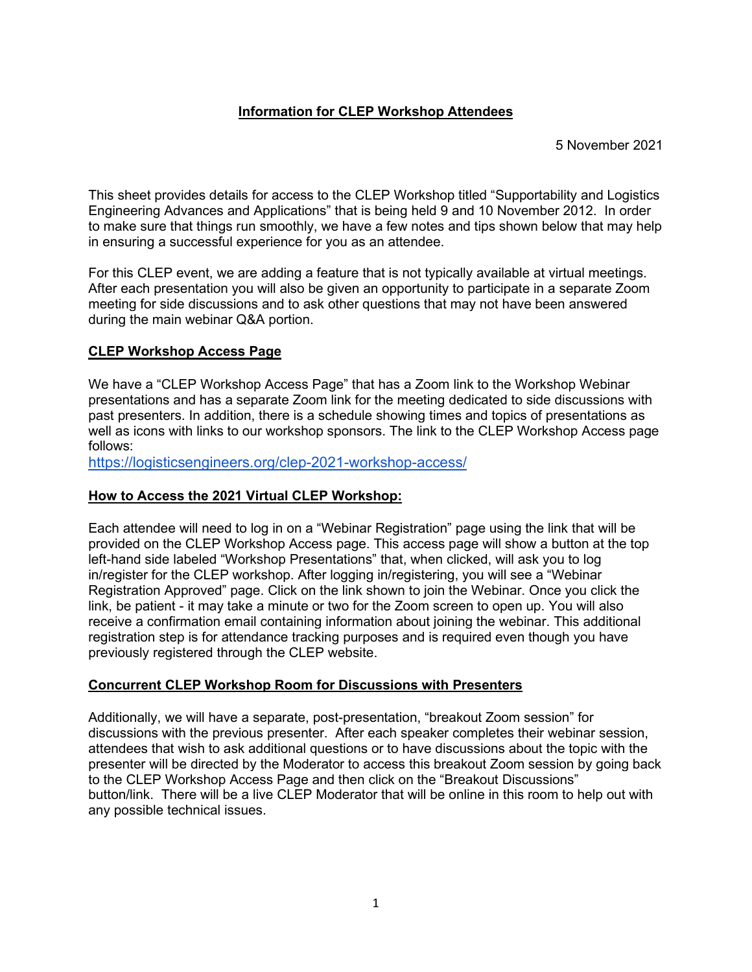## **Information for CLEP Workshop Attendees**

5 November 2021

This sheet provides details for access to the CLEP Workshop titled "Supportability and Logistics Engineering Advances and Applications" that is being held 9 and 10 November 2012. In order to make sure that things run smoothly, we have a few notes and tips shown below that may help in ensuring a successful experience for you as an attendee.

For this CLEP event, we are adding a feature that is not typically available at virtual meetings. After each presentation you will also be given an opportunity to participate in a separate Zoom meeting for side discussions and to ask other questions that may not have been answered during the main webinar Q&A portion.

# **CLEP Workshop Access Page**

We have a "CLEP Workshop Access Page" that has a Zoom link to the Workshop Webinar presentations and has a separate Zoom link for the meeting dedicated to side discussions with past presenters. In addition, there is a schedule showing times and topics of presentations as well as icons with links to our workshop sponsors. The link to the CLEP Workshop Access page follows:

[https://logisticsengineers.org/clep-2021-workshop-access/](about:blank)

#### **How to Access the 2021 Virtual CLEP Workshop:**

Each attendee will need to log in on a "Webinar Registration" page using the link that will be provided on the CLEP Workshop Access page. This access page will show a button at the top left-hand side labeled "Workshop Presentations" that, when clicked, will ask you to log in/register for the CLEP workshop. After logging in/registering, you will see a "Webinar Registration Approved" page. Click on the link shown to join the Webinar. Once you click the link, be patient - it may take a minute or two for the Zoom screen to open up. You will also receive a confirmation email containing information about joining the webinar. This additional registration step is for attendance tracking purposes and is required even though you have previously registered through the CLEP website.

#### **Concurrent CLEP Workshop Room for Discussions with Presenters**

Additionally, we will have a separate, post-presentation, "breakout Zoom session" for discussions with the previous presenter. After each speaker completes their webinar session, attendees that wish to ask additional questions or to have discussions about the topic with the presenter will be directed by the Moderator to access this breakout Zoom session by going back to the CLEP Workshop Access Page and then click on the "Breakout Discussions" button/link. There will be a live CLEP Moderator that will be online in this room to help out with any possible technical issues.